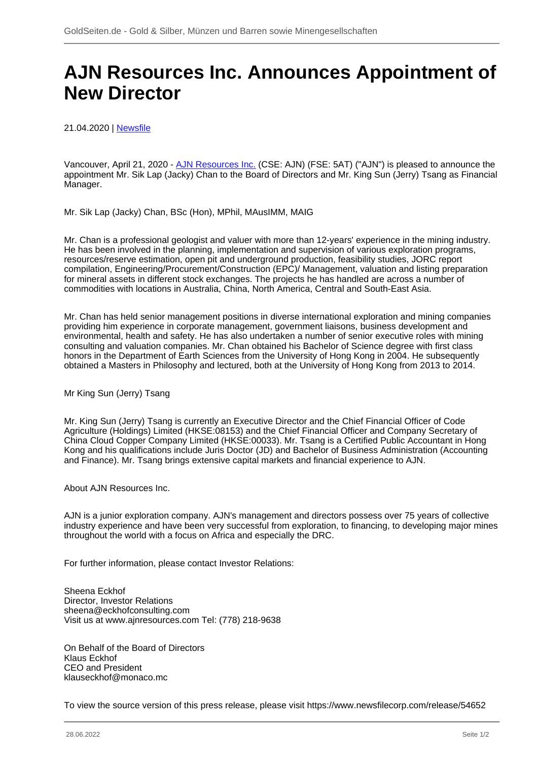## **AJN Resources Inc. Announces Appointment of New Director**

21.04.2020 | [Newsfile](/profil/273--Newsfile)

Vancouver, April 21, 2020 - [AJN Resources Inc.](/minen/3637--AJN-Resources-Inc) (CSE: AJN) (FSE: 5AT) ("AJN") is pleased to announce the appointment Mr. Sik Lap (Jacky) Chan to the Board of Directors and Mr. King Sun (Jerry) Tsang as Financial Manager.

Mr. Sik Lap (Jacky) Chan, BSc (Hon), MPhil, MAusIMM, MAIG

Mr. Chan is a professional geologist and valuer with more than 12-years' experience in the mining industry. He has been involved in the planning, implementation and supervision of various exploration programs, resources/reserve estimation, open pit and underground production, feasibility studies, JORC report compilation, Engineering/Procurement/Construction (EPC)/ Management, valuation and listing preparation for mineral assets in different stock exchanges. The projects he has handled are across a number of commodities with locations in Australia, China, North America, Central and South-East Asia.

Mr. Chan has held senior management positions in diverse international exploration and mining companies providing him experience in corporate management, government liaisons, business development and environmental, health and safety. He has also undertaken a number of senior executive roles with mining consulting and valuation companies. Mr. Chan obtained his Bachelor of Science degree with first class honors in the Department of Earth Sciences from the University of Hong Kong in 2004. He subsequently obtained a Masters in Philosophy and lectured, both at the University of Hong Kong from 2013 to 2014.

Mr King Sun (Jerry) Tsang

Mr. King Sun (Jerry) Tsang is currently an Executive Director and the Chief Financial Officer of Code Agriculture (Holdings) Limited (HKSE:08153) and the Chief Financial Officer and Company Secretary of China Cloud Copper Company Limited (HKSE:00033). Mr. Tsang is a Certified Public Accountant in Hong Kong and his qualifications include Juris Doctor (JD) and Bachelor of Business Administration (Accounting and Finance). Mr. Tsang brings extensive capital markets and financial experience to AJN.

About AJN Resources Inc.

AJN is a junior exploration company. AJN's management and directors possess over 75 years of collective industry experience and have been very successful from exploration, to financing, to developing major mines throughout the world with a focus on Africa and especially the DRC.

For further information, please contact Investor Relations:

Sheena Eckhof Director, Investor Relations sheena@eckhofconsulting.com Visit us at www.ajnresources.com Tel: (778) 218-9638

On Behalf of the Board of Directors Klaus Eckhof CEO and President klauseckhof@monaco.mc

To view the source version of this press release, please visit https://www.newsfilecorp.com/release/54652